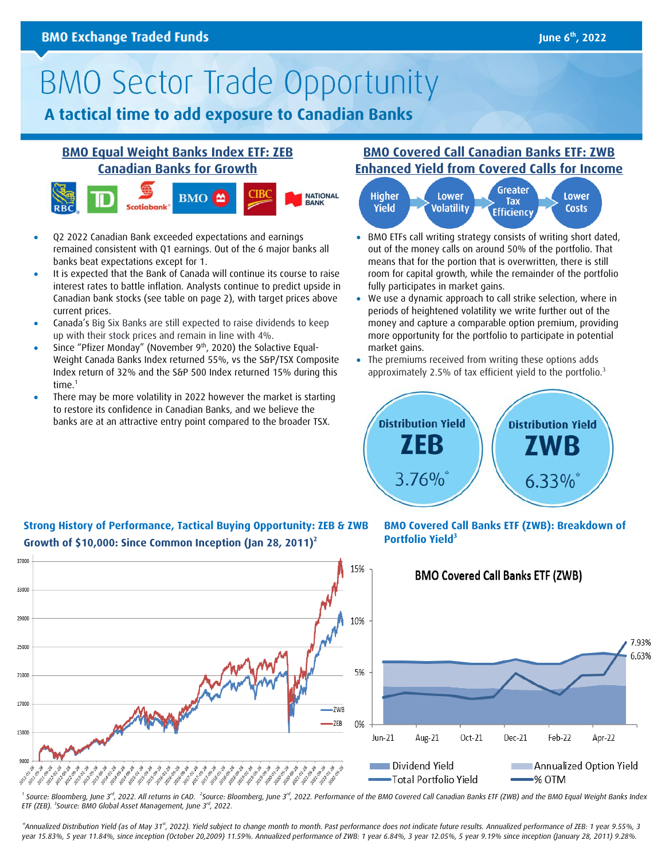# **BMO Sector Trade Opportunity**

# **A tactical time to add exposure to Canadian Banks**

## **[BMO Equal Weight Banks Index ETF: ZEB](https://www.bmo.com/gam/ca/advisor/products/etfs?fundUrl=/fundProfile/ZEB#fundUrl=%2FfundProfile%2FZEB) [Canadian Banks for Growth](https://www.bmo.com/gam/ca/advisor/products/etfs?fundUrl=/fundProfile/ZEB#fundUrl=%2FfundProfile%2FZEB)**



- Q2 2022 Canadian Bank exceeded expectations and earnings remained consistent with Q1 earnings. Out of the 6 major banks all banks beat expectations except for 1.
- It is expected that the Bank of Canada will continue its course to raise interest rates to battle inflation. Analysts continue to predict upside in Canadian bank stocks (see table on page 2), with target prices above current prices.
- Canada's Big Six Banks are still expected to raise dividends to keep up with their stock prices and remain in line with 4%.
- Since "Pfizer Monday" (November  $9<sup>th</sup>$ , 2020) the Solactive Equal-Weight Canada Banks Index returned 55%, vs the S&P/TSX Composite Index return of 32% and the S&P 500 Index returned 15% during this time.<sup>1</sup>
- There may be more volatility in 2022 however the market is starting to restore its confidence in Canadian Banks, and we believe the banks are at an attractive entry point compared to the broader TSX.

## **[BMO Covered Call Canadian Banks ETF: ZWB](https://www.bmo.com/gam/ca/advisor/products/etfs?fundUrl=/fundProfile/ZWB#fundUrl=%2FfundProfile%2FZWB)  Enhanced Yield [from Covered Calls](https://www.bmo.com/gam/ca/advisor/products/etfs?fundUrl=/fundProfile/ZWB#fundUrl=%2FfundProfile%2FZWB) for Income**



- BMO ETFs call writing strategy consists of writing short dated, out of the money calls on around 50% of the portfolio. That means that for the portion that is overwritten, there is still room for capital growth, while the remainder of the portfolio fully participates in market gains.
- We use a dynamic approach to call strike selection, where in periods of heightened volatility we write further out of the money and capture a comparable option premium, providing more opportunity for the portfolio to participate in potential market gains.
- The premiums received from writing these options adds approximately 2.5% of tax efficient yield to the portfolio.<sup>3</sup>



### **Strong History of Performance, Tactical Buying Opportunity: ZEB & ZWB Growth of \$10,000: Since Common Inception (Jan 28, 2011) 2**

**BMO Covered Call Banks ETF (ZWB): Breakdown of Portfolio Yield<sup>3</sup>**



<sup>1</sup> Source: Bloomberg, June 3<sup>rd</sup>, 2022. All returns in CAD. <sup>2</sup>Source: Bloomberg, June 3<sup>rd</sup>, 2022. Performance of the BMO Covered Call Canadian Banks ETF (ZWB) and the BMO Equal Weight Banks Index *ETF (ZEB). <sup>3</sup> Source: BMO Global Asset Management, June 3rd, 2022.*

\*Annualized Distribution Yield (as of May 31<sup>st</sup>, 2022). Yield subject to change month to month. Past performance does not indicate future results. Annualized performance of ZEB: 1 year 9.55%, 3 *year 15.83%, 5 year 11.84%, since inception (October 20,2009) 11.59%. Annualized performance of ZWB: 1 year 6.84%, 3 year 12.05%, 5 year 9.19% since inception (January 28, 2011) 9.28%.*